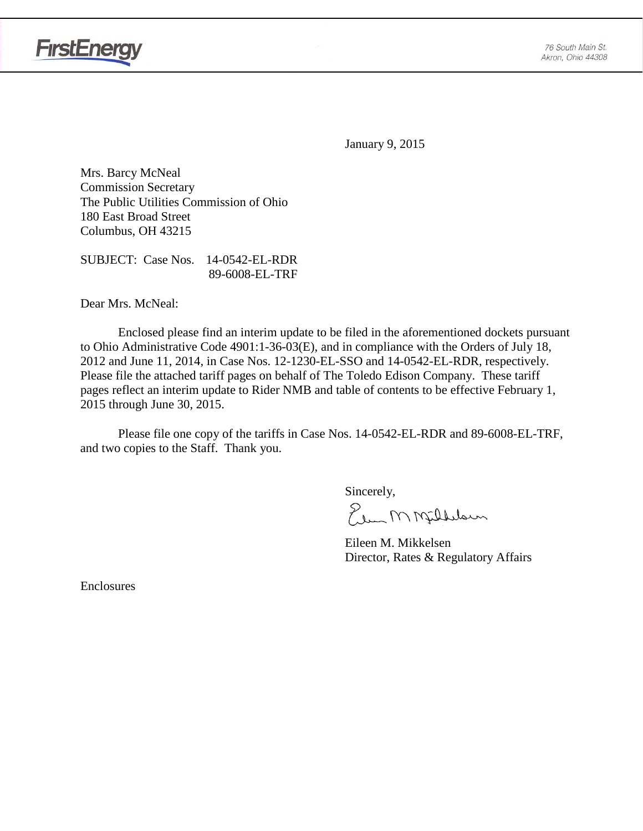

January 9, 2015

Mrs. Barcy McNeal Commission Secretary The Public Utilities Commission of Ohio 180 East Broad Street Columbus, OH 43215

SUBJECT: Case Nos. 14-0542-EL-RDR 89-6008-EL-TRF

Dear Mrs. McNeal:

Enclosed please find an interim update to be filed in the aforementioned dockets pursuant to Ohio Administrative Code 4901:1-36-03(E), and in compliance with the Orders of July 18, 2012 and June 11, 2014, in Case Nos. 12-1230-EL-SSO and 14-0542-EL-RDR, respectively. Please file the attached tariff pages on behalf of The Toledo Edison Company. These tariff pages reflect an interim update to Rider NMB and table of contents to be effective February 1, 2015 through June 30, 2015.

Please file one copy of the tariffs in Case Nos. 14-0542-EL-RDR and 89-6008-EL-TRF, and two copies to the Staff. Thank you.

Sincerely,

Elem M Milleloun

Eileen M. Mikkelsen Director, Rates & Regulatory Affairs

Enclosures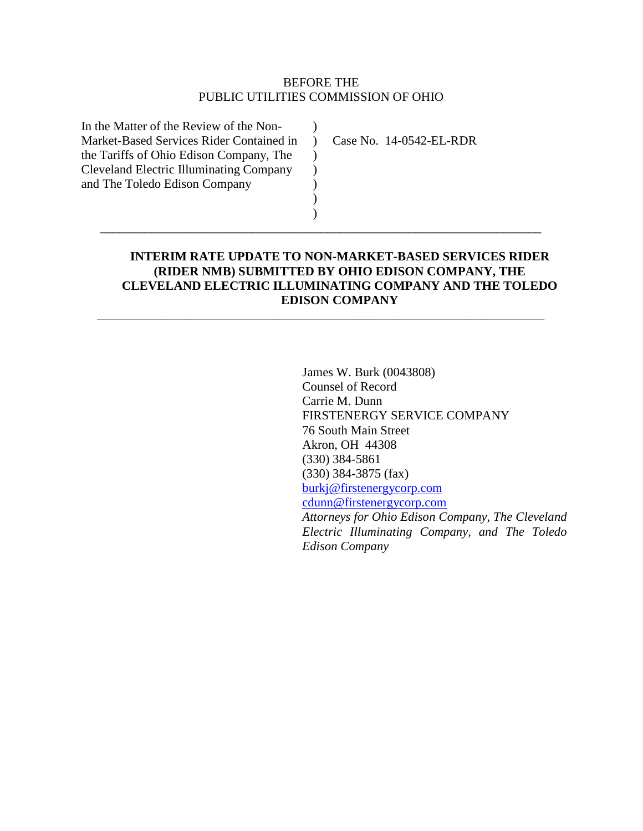### BEFORE THE PUBLIC UTILITIES COMMISSION OF OHIO

 $\lambda$ 

 $\mathcal{L}$  $\mathcal{L}$ ) ) )

**\_\_\_\_\_\_\_\_\_\_\_\_\_\_\_\_\_\_\_\_\_\_\_\_\_\_\_\_\_\_\_\_\_\_\_\_\_\_\_\_\_\_\_\_\_\_\_\_\_\_\_\_\_\_\_\_\_\_\_\_\_\_\_\_\_\_\_\_\_\_**

\_\_\_\_\_\_\_\_\_\_\_\_\_\_\_\_\_\_\_\_\_\_\_\_\_\_\_\_\_\_\_\_\_\_\_\_\_\_\_\_\_\_\_\_\_\_\_\_\_\_\_\_\_\_\_\_\_\_\_\_\_\_\_\_\_\_\_\_\_\_\_

In the Matter of the Review of the Non-Market-Based Services Rider Contained in ) the Tariffs of Ohio Edison Company, The Cleveland Electric Illuminating Company and The Toledo Edison Company

Case No. 14-0542-EL-RDR

## **INTERIM RATE UPDATE TO NON-MARKET-BASED SERVICES RIDER (RIDER NMB) SUBMITTED BY OHIO EDISON COMPANY, THE CLEVELAND ELECTRIC ILLUMINATING COMPANY AND THE TOLEDO EDISON COMPANY**

James W. Burk (0043808) Counsel of Record Carrie M. Dunn FIRSTENERGY SERVICE COMPANY 76 South Main Street Akron, OH 44308 (330) 384-5861 (330) 384-3875 (fax) [burkj@firstenergycorp.com](mailto:burkj@firstenergycorp.com) [cdunn@firstenergycorp.com](mailto:cdunn@firstenergycorp.com) *Attorneys for Ohio Edison Company, The Cleveland Electric Illuminating Company, and The Toledo Edison Company*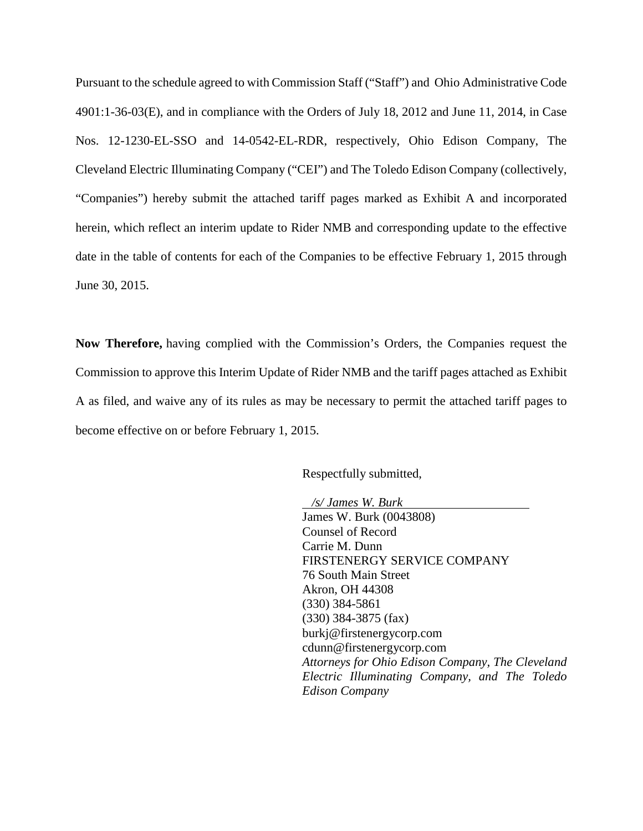Pursuant to the schedule agreed to with Commission Staff ("Staff") and Ohio Administrative Code 4901:1-36-03(E), and in compliance with the Orders of July 18, 2012 and June 11, 2014, in Case Nos. 12-1230-EL-SSO and 14-0542-EL-RDR, respectively, Ohio Edison Company, The Cleveland Electric Illuminating Company ("CEI") and The Toledo Edison Company (collectively, "Companies") hereby submit the attached tariff pages marked as Exhibit A and incorporated herein, which reflect an interim update to Rider NMB and corresponding update to the effective date in the table of contents for each of the Companies to be effective February 1, 2015 through June 30, 2015.

**Now Therefore,** having complied with the Commission's Orders, the Companies request the Commission to approve this Interim Update of Rider NMB and the tariff pages attached as Exhibit A as filed, and waive any of its rules as may be necessary to permit the attached tariff pages to become effective on or before February 1, 2015.

Respectfully submitted,

 */s/ James W. Burk* James W. Burk (0043808) Counsel of Record Carrie M. Dunn FIRSTENERGY SERVICE COMPANY 76 South Main Street Akron, OH 44308 (330) 384-5861 (330) 384-3875 (fax) burkj@firstenergycorp.com cdunn@firstenergycorp.com *Attorneys for Ohio Edison Company, The Cleveland Electric Illuminating Company, and The Toledo Edison Company*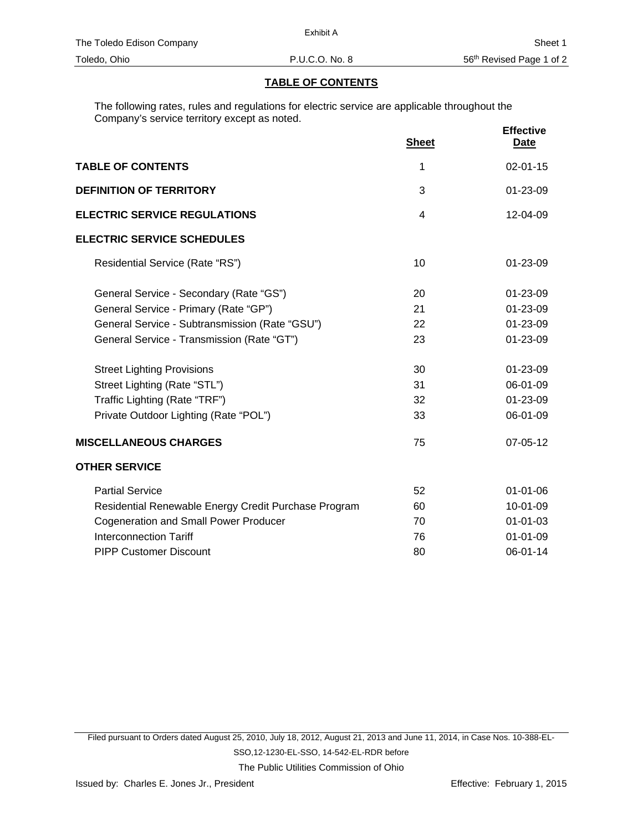#### **TABLE OF CONTENTS**

The following rates, rules and regulations for electric service are applicable throughout the Company's service territory except as noted.

|                                                      | <b>Sheet</b>   | <b>Effective</b><br><b>Date</b> |
|------------------------------------------------------|----------------|---------------------------------|
| <b>TABLE OF CONTENTS</b>                             | 1              | $02 - 01 - 15$                  |
| <b>DEFINITION OF TERRITORY</b>                       | 3              | $01 - 23 - 09$                  |
| <b>ELECTRIC SERVICE REGULATIONS</b>                  | $\overline{4}$ | 12-04-09                        |
| <b>ELECTRIC SERVICE SCHEDULES</b>                    |                |                                 |
| Residential Service (Rate "RS")                      | 10             | $01 - 23 - 09$                  |
| General Service - Secondary (Rate "GS")              | 20             | 01-23-09                        |
| General Service - Primary (Rate "GP")                | 21             | 01-23-09                        |
| General Service - Subtransmission (Rate "GSU")       | 22             | 01-23-09                        |
| General Service - Transmission (Rate "GT")           | 23             | 01-23-09                        |
| <b>Street Lighting Provisions</b>                    | 30             | 01-23-09                        |
| Street Lighting (Rate "STL")                         | 31             | 06-01-09                        |
| Traffic Lighting (Rate "TRF")                        | 32             | 01-23-09                        |
| Private Outdoor Lighting (Rate "POL")                | 33             | 06-01-09                        |
| <b>MISCELLANEOUS CHARGES</b>                         | 75             | 07-05-12                        |
| <b>OTHER SERVICE</b>                                 |                |                                 |
| <b>Partial Service</b>                               | 52             | $01 - 01 - 06$                  |
| Residential Renewable Energy Credit Purchase Program | 60             | 10-01-09                        |
| <b>Cogeneration and Small Power Producer</b>         | 70             | $01 - 01 - 03$                  |
| <b>Interconnection Tariff</b>                        | 76             | $01 - 01 - 09$                  |
| <b>PIPP Customer Discount</b>                        | 80             | 06-01-14                        |

Filed pursuant to Orders dated August 25, 2010, July 18, 2012, August 21, 2013 and June 11, 2014, in Case Nos. 10-388-EL-SSO,12-1230-EL-SSO, 14-542-EL-RDR before The Public Utilities Commission of Ohio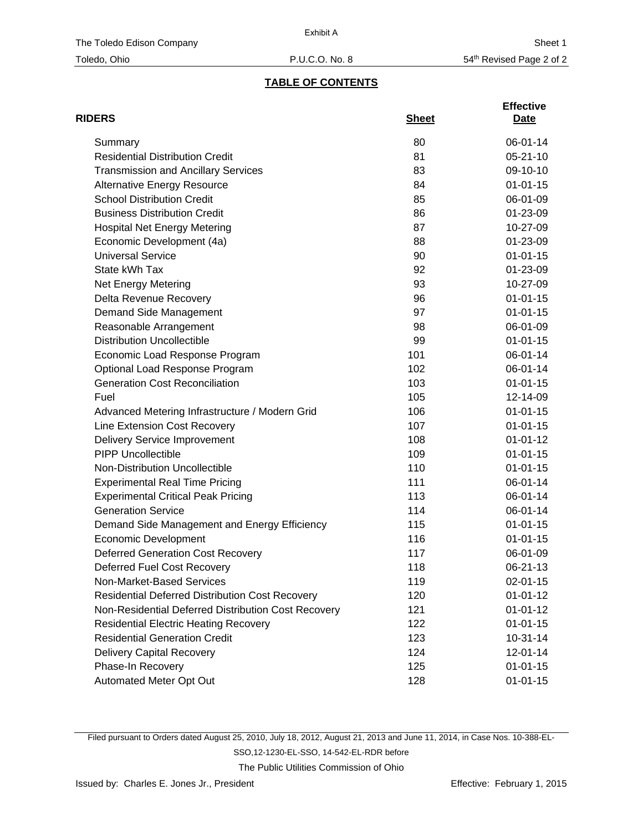# **TABLE OF CONTENTS**

| <b>RIDERS</b>                                          | <b>Sheet</b> | <b>Effective</b><br>Date |
|--------------------------------------------------------|--------------|--------------------------|
| Summary                                                | 80           | 06-01-14                 |
| <b>Residential Distribution Credit</b>                 | 81           | $05 - 21 - 10$           |
| <b>Transmission and Ancillary Services</b>             | 83           | 09-10-10                 |
| <b>Alternative Energy Resource</b>                     | 84           | $01 - 01 - 15$           |
| <b>School Distribution Credit</b>                      | 85           | 06-01-09                 |
| <b>Business Distribution Credit</b>                    | 86           | 01-23-09                 |
| <b>Hospital Net Energy Metering</b>                    | 87           | 10-27-09                 |
| Economic Development (4a)                              | 88           | 01-23-09                 |
| <b>Universal Service</b>                               | 90           | $01 - 01 - 15$           |
| State kWh Tax                                          | 92           | 01-23-09                 |
| Net Energy Metering                                    | 93           | 10-27-09                 |
| Delta Revenue Recovery                                 | 96           | $01 - 01 - 15$           |
| Demand Side Management                                 | 97           | $01 - 01 - 15$           |
| Reasonable Arrangement                                 | 98           | 06-01-09                 |
| <b>Distribution Uncollectible</b>                      | 99           | $01 - 01 - 15$           |
| Economic Load Response Program                         | 101          | 06-01-14                 |
| Optional Load Response Program                         | 102          | 06-01-14                 |
| <b>Generation Cost Reconciliation</b>                  | 103          | $01 - 01 - 15$           |
| Fuel                                                   | 105          | 12-14-09                 |
| Advanced Metering Infrastructure / Modern Grid         | 106          | $01 - 01 - 15$           |
| Line Extension Cost Recovery                           | 107          | $01 - 01 - 15$           |
| Delivery Service Improvement                           | 108          | $01 - 01 - 12$           |
| <b>PIPP Uncollectible</b>                              | 109          | $01 - 01 - 15$           |
| Non-Distribution Uncollectible                         | 110          | $01 - 01 - 15$           |
| <b>Experimental Real Time Pricing</b>                  | 111          | 06-01-14                 |
| <b>Experimental Critical Peak Pricing</b>              | 113          | 06-01-14                 |
| <b>Generation Service</b>                              | 114          | 06-01-14                 |
| Demand Side Management and Energy Efficiency           | 115          | $01 - 01 - 15$           |
| <b>Economic Development</b>                            | 116          | $01 - 01 - 15$           |
| <b>Deferred Generation Cost Recovery</b>               | 117          | 06-01-09                 |
| <b>Deferred Fuel Cost Recovery</b>                     | 118          | 06-21-13                 |
| Non-Market-Based Services                              | 119          | $02 - 01 - 15$           |
| <b>Residential Deferred Distribution Cost Recovery</b> | 120          | $01 - 01 - 12$           |
| Non-Residential Deferred Distribution Cost Recovery    | 121          | $01 - 01 - 12$           |
| <b>Residential Electric Heating Recovery</b>           | 122          | $01 - 01 - 15$           |
| <b>Residential Generation Credit</b>                   | 123          | $10-31-14$               |
| <b>Delivery Capital Recovery</b>                       | 124          | 12-01-14                 |
| Phase-In Recovery                                      | 125          | $01 - 01 - 15$           |
| Automated Meter Opt Out                                | 128          | $01 - 01 - 15$           |

Filed pursuant to Orders dated August 25, 2010, July 18, 2012, August 21, 2013 and June 11, 2014, in Case Nos. 10-388-EL-SSO,12-1230-EL-SSO, 14-542-EL-RDR before

The Public Utilities Commission of Ohio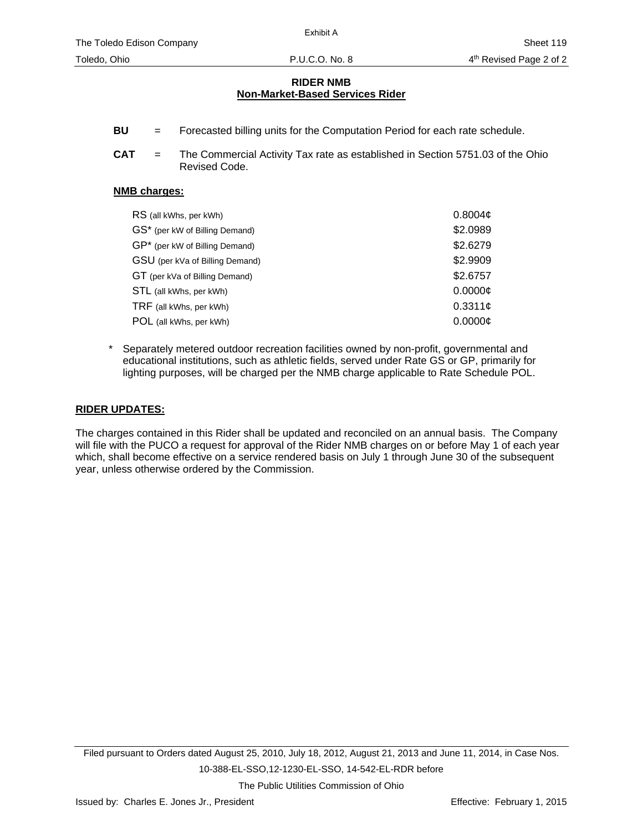#### **RIDER NMB Non-Market-Based Services Rider**

- **BU** = Forecasted billing units for the Computation Period for each rate schedule.
- **CAT** = The Commercial Activity Tax rate as established in Section 5751.03 of the Ohio Revised Code.

#### **NMB charges:**

| RS (all kWhs, per kWh)          | 0.8004c  |
|---------------------------------|----------|
| GS* (per kW of Billing Demand)  | \$2.0989 |
| GP* (per kW of Billing Demand)  | \$2.6279 |
| GSU (per kVa of Billing Demand) | \$2.9909 |
| GT (per kVa of Billing Demand)  | \$2.6757 |
| STL (all kWhs, per kWh)         | 0.0000c  |
| TRF (all kWhs, per kWh)         | 0.3311c  |
| POL (all kWhs, per kWh)         | 0.0000C  |

Separately metered outdoor recreation facilities owned by non-profit, governmental and educational institutions, such as athletic fields, served under Rate GS or GP, primarily for lighting purposes, will be charged per the NMB charge applicable to Rate Schedule POL.

#### **RIDER UPDATES:**

The charges contained in this Rider shall be updated and reconciled on an annual basis. The Company will file with the PUCO a request for approval of the Rider NMB charges on or before May 1 of each year which, shall become effective on a service rendered basis on July 1 through June 30 of the subsequent year, unless otherwise ordered by the Commission.

The Public Utilities Commission of Ohio